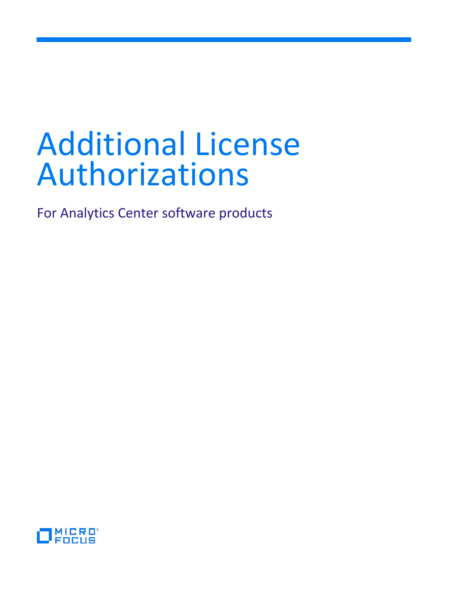# Additional License Authorizations

For Analytics Center software products

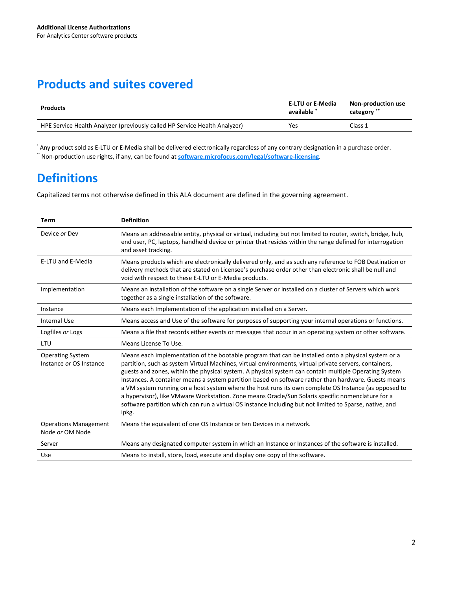### **Products and suites covered**

| <b>Products</b>                                                            | E-LTU or E-Media<br>available * | Non-production use<br>category ** |
|----------------------------------------------------------------------------|---------------------------------|-----------------------------------|
| HPE Service Health Analyzer (previously called HP Service Health Analyzer) | Yes                             | Class 1                           |

\* Any product sold as E-LTU or E-Media shall be delivered electronically regardless of any contrary designation in a purchase order. \*\* Non-production use rights, if any, can be found at **[software.microfocus.com/legal/software-licensing](https://software.microfocus.com/legal/software-licensing)**.

## **Definitions**

Capitalized terms not otherwise defined in this ALA document are defined in the governing agreement.

| Term                                               | <b>Definition</b>                                                                                                                                                                                                                                                                                                                                                                                                                                                                                                                                                                                                                                                                                                                                               |
|----------------------------------------------------|-----------------------------------------------------------------------------------------------------------------------------------------------------------------------------------------------------------------------------------------------------------------------------------------------------------------------------------------------------------------------------------------------------------------------------------------------------------------------------------------------------------------------------------------------------------------------------------------------------------------------------------------------------------------------------------------------------------------------------------------------------------------|
| Device or Dev                                      | Means an addressable entity, physical or virtual, including but not limited to router, switch, bridge, hub,<br>end user, PC, laptops, handheld device or printer that resides within the range defined for interrogation<br>and asset tracking.                                                                                                                                                                                                                                                                                                                                                                                                                                                                                                                 |
| E-LTU and E-Media                                  | Means products which are electronically delivered only, and as such any reference to FOB Destination or<br>delivery methods that are stated on Licensee's purchase order other than electronic shall be null and<br>void with respect to these E-LTU or E-Media products.                                                                                                                                                                                                                                                                                                                                                                                                                                                                                       |
| Implementation                                     | Means an installation of the software on a single Server or installed on a cluster of Servers which work<br>together as a single installation of the software.                                                                                                                                                                                                                                                                                                                                                                                                                                                                                                                                                                                                  |
| Instance                                           | Means each Implementation of the application installed on a Server.                                                                                                                                                                                                                                                                                                                                                                                                                                                                                                                                                                                                                                                                                             |
| <b>Internal Use</b>                                | Means access and Use of the software for purposes of supporting your internal operations or functions.                                                                                                                                                                                                                                                                                                                                                                                                                                                                                                                                                                                                                                                          |
| Logfiles or Logs                                   | Means a file that records either events or messages that occur in an operating system or other software.                                                                                                                                                                                                                                                                                                                                                                                                                                                                                                                                                                                                                                                        |
| LTU                                                | Means License To Use.                                                                                                                                                                                                                                                                                                                                                                                                                                                                                                                                                                                                                                                                                                                                           |
| <b>Operating System</b><br>Instance or OS Instance | Means each implementation of the bootable program that can be installed onto a physical system or a<br>partition, such as system Virtual Machines, virtual environments, virtual private servers, containers,<br>guests and zones, within the physical system. A physical system can contain multiple Operating System<br>Instances. A container means a system partition based on software rather than hardware. Guests means<br>a VM system running on a host system where the host runs its own complete OS Instance (as opposed to<br>a hypervisor), like VMware Workstation. Zone means Oracle/Sun Solaris specific nomenclature for a<br>software partition which can run a virtual OS instance including but not limited to Sparse, native, and<br>ipkg. |
| <b>Operations Management</b><br>Node or OM Node    | Means the equivalent of one OS Instance or ten Devices in a network.                                                                                                                                                                                                                                                                                                                                                                                                                                                                                                                                                                                                                                                                                            |
| Server                                             | Means any designated computer system in which an Instance or Instances of the software is installed.                                                                                                                                                                                                                                                                                                                                                                                                                                                                                                                                                                                                                                                            |
| Use                                                | Means to install, store, load, execute and display one copy of the software.                                                                                                                                                                                                                                                                                                                                                                                                                                                                                                                                                                                                                                                                                    |